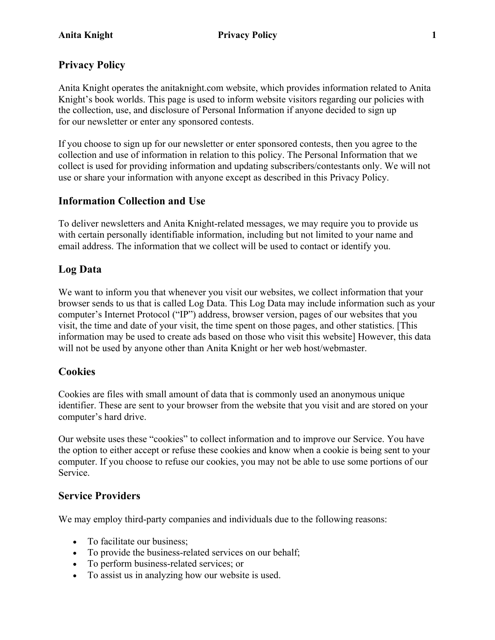# **Privacy Policy**

Anita Knight operates the anitaknight.com website, which provides information related to Anita Knight's book worlds. This page is used to inform website visitors regarding our policies with the collection, use, and disclosure of Personal Information if anyone decided to sign up for our newsletter or enter any sponsored contests.

If you choose to sign up for our newsletter or enter sponsored contests, then you agree to the collection and use of information in relation to this policy. The Personal Information that we collect is used for providing information and updating subscribers/contestants only. We will not use or share your information with anyone except as described in this Privacy Policy.

## **Information Collection and Use**

To deliver newsletters and Anita Knight-related messages, we may require you to provide us with certain personally identifiable information, including but not limited to your name and email address. The information that we collect will be used to contact or identify you.

## **Log Data**

We want to inform you that whenever you visit our websites, we collect information that your browser sends to us that is called Log Data. This Log Data may include information such as your computer's Internet Protocol ("IP") address, browser version, pages of our websites that you visit, the time and date of your visit, the time spent on those pages, and other statistics. [This information may be used to create ads based on those who visit this website] However, this data will not be used by anyone other than Anita Knight or her web host/webmaster.

## **Cookies**

Cookies are files with small amount of data that is commonly used an anonymous unique identifier. These are sent to your browser from the website that you visit and are stored on your computer's hard drive.

Our website uses these "cookies" to collect information and to improve our Service. You have the option to either accept or refuse these cookies and know when a cookie is being sent to your computer. If you choose to refuse our cookies, you may not be able to use some portions of our Service.

## **Service Providers**

We may employ third-party companies and individuals due to the following reasons:

- To facilitate our business;
- To provide the business-related services on our behalf:
- To perform business-related services; or
- To assist us in analyzing how our website is used.